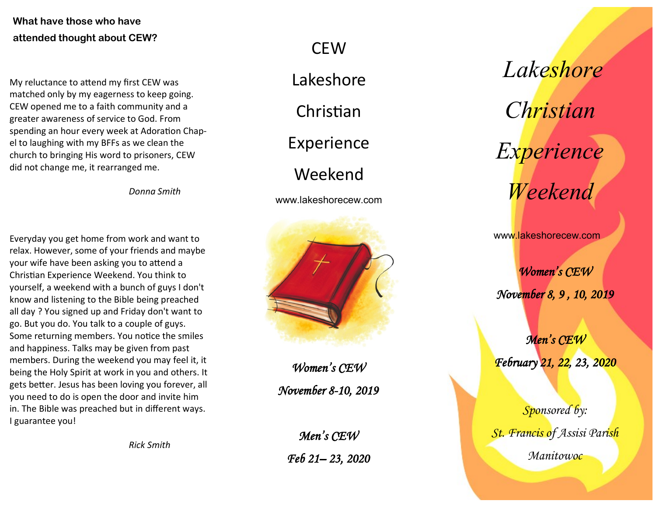## **What have those who have attended thought about CEW?**

My reluctance to attend my first CEW was matched only by my eagerness to keep going. CEW opened me to a faith community and a greater awareness of service to God. From spending an hour every week at Adoration Chapel to laughing with my BFFs as we clean the church to bringing His word to prisoners, CEW did not change me, it rearranged me.

*Donna Smith*

Everyday you get home from work and want to relax. However, some of your friends and maybe your wife have been asking you to attend a Christian Experience Weekend. You think to yourself, a weekend with a bunch of guys I don't know and listening to the Bible being preached all day ? You signed up and Friday don't want to go. But you do. You talk to a couple of guys. Some returning members. You notice the smiles and happiness. Talks may be given from past members. During the weekend you may feel it, it being the Holy Spirit at work in you and others. It gets better. Jesus has been loving you forever, all you need to do is open the door and invite him in. The Bible was preached but in different ways. I guarantee you!

CEW

Lakeshore

Christian

Experience

Weekend

www.lakeshorecew.com



*Women's CEW November 8-10, 2019* 

*Men's CEW Feb 21 – 23, 2020* 

*Lakeshore Christian Experience Weekend* www.lakeshorecew.com

*Women's CEW November 8, 9 , 10, 2019* 

*Men's CEW February 21, 22, 23, 2020* 

*Sponsored by: St. Francis of Assisi Parish*

*Manitowoc*

*Rick Smith*